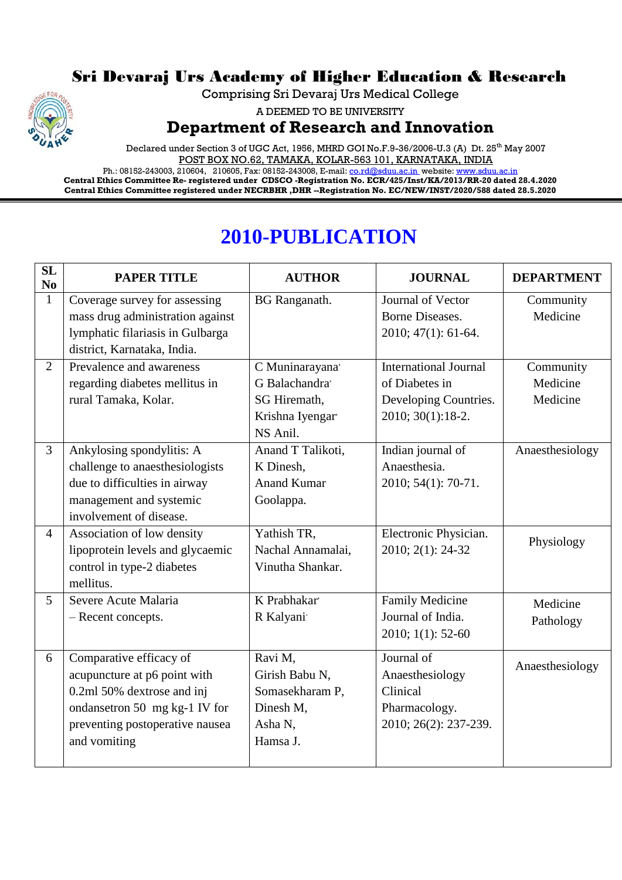## Sri Devaraj Urs Academy of Higher Education & Research

Comprising Sri Devaraj Urs Medical College

A DEEMED TO BE UNIVERSITY

**Department of Research and Innovation**

Declared under Section 3 of UGC Act, 1956, MHRD GOI No.F.9-36/2006-U.3 (A) Dt. 25<sup>th</sup> May 2007 POST BOX NO.62, TAMAKA, KOLAR-563 101, KARNATAKA, INDIA

Ph.: 08152-243003, 210604, 210605, Fax: 08152-243008, E-mail[: co.rd@sduu.ac.in](mailto:co.rd@sduu.ac.in) website: [www.sduu.ac.in](http://www.sduu.ac.in/) **Central Ethics Committee Re- registered under CDSCO -Registration No. ECR/425/Inst/KA/2013/RR-20 dated 28.4.2020 Central Ethics Committee registered under NECRBHR ,DHR --Registration No. EC/NEW/INST/2020/588 dated 28.5.2020**

## **2010-PUBLICATION**

| <b>SL</b><br>No | <b>PAPER TITLE</b>               | <b>AUTHOR</b>        | <b>JOURNAL</b>               | <b>DEPARTMENT</b> |
|-----------------|----------------------------------|----------------------|------------------------------|-------------------|
| 1               | Coverage survey for assessing    | <b>BG</b> Ranganath. | Journal of Vector            | Community         |
|                 | mass drug administration against |                      | <b>Borne Diseases.</b>       | Medicine          |
|                 | lymphatic filariasis in Gulbarga |                      | 2010; 47(1): 61-64.          |                   |
|                 | district, Karnataka, India.      |                      |                              |                   |
| $\overline{2}$  | Prevalence and awareness         | C Muninarayana       | <b>International Journal</b> | Community         |
|                 | regarding diabetes mellitus in   | G Balachandra'       | of Diabetes in               | Medicine          |
|                 | rural Tamaka, Kolar.             | SG Hiremath,         | Developing Countries.        | Medicine          |
|                 |                                  | Krishna Iyengar      | 2010; 30(1):18-2.            |                   |
|                 |                                  | NS Anil.             |                              |                   |
| $\overline{3}$  | Ankylosing spondylitis: A        | Anand T Talikoti,    | Indian journal of            | Anaesthesiology   |
|                 | challenge to anaesthesiologists  | K Dinesh,            | Anaesthesia.                 |                   |
|                 | due to difficulties in airway    | <b>Anand Kumar</b>   | 2010; 54(1): 70-71.          |                   |
|                 | management and systemic          | Goolappa.            |                              |                   |
|                 | involvement of disease.          |                      |                              |                   |
| $\overline{4}$  | Association of low density       | Yathish TR,          | Electronic Physician.        | Physiology        |
|                 | lipoprotein levels and glycaemic | Nachal Annamalai,    | 2010; 2(1): 24-32            |                   |
|                 | control in type-2 diabetes       | Vinutha Shankar.     |                              |                   |
|                 | mellitus.                        |                      |                              |                   |
| 5               | Severe Acute Malaria             | K Prabhakar          | <b>Family Medicine</b>       | Medicine          |
|                 | - Recent concepts.               | R Kalyani            | Journal of India.            | Pathology         |
|                 |                                  |                      | 2010; 1(1): 52-60            |                   |
| 6               | Comparative efficacy of          | Ravi M,              | Journal of                   |                   |
|                 | acupuncture at p6 point with     | Girish Babu N,       | Anaesthesiology              | Anaesthesiology   |
|                 | 0.2ml 50% dextrose and inj       | Somasekharam P,      | Clinical                     |                   |
|                 | ondansetron 50 mg kg-1 IV for    | Dinesh M,            | Pharmacology.                |                   |
|                 | preventing postoperative nausea  | Asha N,              | 2010; 26(2): 237-239.        |                   |
|                 | and vomiting                     | Hamsa J.             |                              |                   |
|                 |                                  |                      |                              |                   |

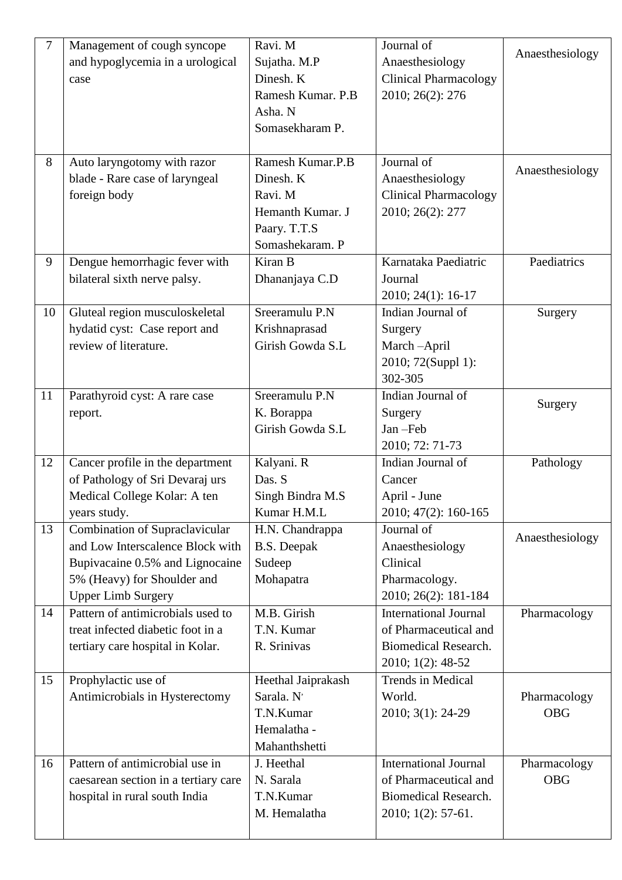| 7  | Management of cough syncope          | Ravi. M            | Journal of                   |                 |
|----|--------------------------------------|--------------------|------------------------------|-----------------|
|    | and hypoglycemia in a urological     | Sujatha. M.P       | Anaesthesiology              | Anaesthesiology |
|    | case                                 | Dinesh. K          | <b>Clinical Pharmacology</b> |                 |
|    |                                      | Ramesh Kumar. P.B  | 2010; 26(2): 276             |                 |
|    |                                      | Asha. N            |                              |                 |
|    |                                      | Somasekharam P.    |                              |                 |
|    |                                      |                    |                              |                 |
| 8  | Auto laryngotomy with razor          | Ramesh Kumar.P.B   | Journal of                   | Anaesthesiology |
|    | blade - Rare case of laryngeal       | Dinesh. K          | Anaesthesiology              |                 |
|    | foreign body                         | Ravi. M            | <b>Clinical Pharmacology</b> |                 |
|    |                                      | Hemanth Kumar. J   | 2010; 26(2): 277             |                 |
|    |                                      | Paary. T.T.S       |                              |                 |
|    |                                      | Somashekaram. P    |                              |                 |
| 9  | Dengue hemorrhagic fever with        | Kiran B            | Karnataka Paediatric         | Paediatrics     |
|    | bilateral sixth nerve palsy.         | Dhananjaya C.D     | Journal                      |                 |
|    |                                      |                    | 2010; 24(1): 16-17           |                 |
| 10 | Gluteal region musculoskeletal       | Sreeramulu P.N     | Indian Journal of            | Surgery         |
|    | hydatid cyst: Case report and        | Krishnaprasad      | Surgery                      |                 |
|    | review of literature.                | Girish Gowda S.L   | March-April                  |                 |
|    |                                      |                    | 2010; 72(Suppl 1):           |                 |
|    |                                      |                    | 302-305                      |                 |
| 11 | Parathyroid cyst: A rare case        | Sreeramulu P.N     | Indian Journal of            | Surgery         |
|    | report.                              | K. Borappa         | Surgery                      |                 |
|    |                                      | Girish Gowda S.L   | Jan-Feb                      |                 |
|    |                                      |                    | 2010; 72: 71-73              |                 |
| 12 | Cancer profile in the department     | Kalyani. R         | Indian Journal of            | Pathology       |
|    | of Pathology of Sri Devaraj urs      | Das. S             | Cancer                       |                 |
|    | Medical College Kolar: A ten         | Singh Bindra M.S   | April - June                 |                 |
|    | years study.                         | Kumar H.M.L        | 2010; 47(2): 160-165         |                 |
| 13 | Combination of Supraclavicular       | H.N. Chandrappa    | Journal of                   | Anaesthesiology |
|    | and Low Interscalence Block with     | <b>B.S.</b> Deepak | Anaesthesiology              |                 |
|    | Bupivacaine 0.5% and Lignocaine      | Sudeep             | Clinical                     |                 |
|    | 5% (Heavy) for Shoulder and          | Mohapatra          | Pharmacology.                |                 |
|    | <b>Upper Limb Surgery</b>            |                    | 2010; 26(2): 181-184         |                 |
| 14 | Pattern of antimicrobials used to    | M.B. Girish        | International Journal        | Pharmacology    |
|    | treat infected diabetic foot in a    | T.N. Kumar         | of Pharmaceutical and        |                 |
|    | tertiary care hospital in Kolar.     | R. Srinivas        | <b>Biomedical Research.</b>  |                 |
|    |                                      |                    | 2010; 1(2): 48-52            |                 |
| 15 | Prophylactic use of                  | Heethal Jaiprakash | <b>Trends in Medical</b>     |                 |
|    | Antimicrobials in Hysterectomy       | Sarala. N'         | World.                       | Pharmacology    |
|    |                                      | T.N.Kumar          | 2010; 3(1): 24-29            | <b>OBG</b>      |
|    |                                      | Hemalatha -        |                              |                 |
|    |                                      | Mahanthshetti      |                              |                 |
| 16 | Pattern of antimicrobial use in      | J. Heethal         | <b>International Journal</b> | Pharmacology    |
|    | caesarean section in a tertiary care | N. Sarala          | of Pharmaceutical and        | <b>OBG</b>      |
|    | hospital in rural south India        | T.N.Kumar          | <b>Biomedical Research.</b>  |                 |
|    |                                      | M. Hemalatha       | $2010; 1(2): 57-61.$         |                 |
|    |                                      |                    |                              |                 |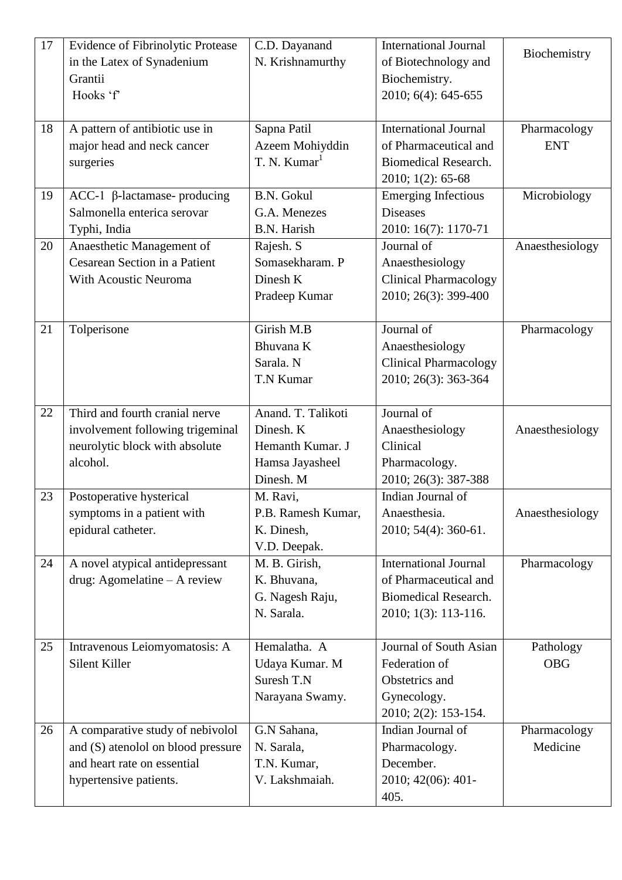| 17 | <b>Evidence of Fibrinolytic Protease</b> | C.D. Dayanand            | <b>International Journal</b> | Biochemistry    |
|----|------------------------------------------|--------------------------|------------------------------|-----------------|
|    | in the Latex of Synadenium               | N. Krishnamurthy         | of Biotechnology and         |                 |
|    | Grantii                                  |                          | Biochemistry.                |                 |
|    | Hooks 'f'                                |                          | 2010; 6(4): 645-655          |                 |
|    |                                          |                          |                              |                 |
| 18 | A pattern of antibiotic use in           | Sapna Patil              | <b>International Journal</b> | Pharmacology    |
|    | major head and neck cancer               | Azeem Mohiyddin          | of Pharmaceutical and        | <b>ENT</b>      |
|    | surgeries                                | T. N. Kumar <sup>1</sup> | <b>Biomedical Research.</b>  |                 |
|    |                                          |                          | 2010; 1(2): 65-68            |                 |
| 19 | $ACC-1$ $\beta$ -lactamase- producing    | <b>B.N. Gokul</b>        | <b>Emerging Infectious</b>   | Microbiology    |
|    | Salmonella enterica serovar              | G.A. Menezes             | <b>Diseases</b>              |                 |
|    | Typhi, India                             | <b>B.N.</b> Harish       | 2010: 16(7): 1170-71         |                 |
| 20 | Anaesthetic Management of                | Rajesh. S                | Journal of                   | Anaesthesiology |
|    | Cesarean Section in a Patient            | Somasekharam. P          | Anaesthesiology              |                 |
|    | With Acoustic Neuroma                    | Dinesh K                 | <b>Clinical Pharmacology</b> |                 |
|    |                                          | Pradeep Kumar            | 2010; 26(3): 399-400         |                 |
|    |                                          |                          |                              |                 |
| 21 | Tolperisone                              | Girish M.B               | Journal of                   | Pharmacology    |
|    |                                          | Bhuvana K                | Anaesthesiology              |                 |
|    |                                          | Sarala. N                | <b>Clinical Pharmacology</b> |                 |
|    |                                          | T.N Kumar                | 2010; 26(3): 363-364         |                 |
|    |                                          |                          |                              |                 |
| 22 | Third and fourth cranial nerve           | Anand. T. Talikoti       | Journal of                   |                 |
|    | involvement following trigeminal         | Dinesh. K                | Anaesthesiology              | Anaesthesiology |
|    | neurolytic block with absolute           | Hemanth Kumar. J         | Clinical                     |                 |
|    | alcohol.                                 | Hamsa Jayasheel          | Pharmacology.                |                 |
|    |                                          | Dinesh. M                | 2010; 26(3): 387-388         |                 |
| 23 | Postoperative hysterical                 | M. Ravi,                 | Indian Journal of            |                 |
|    | symptoms in a patient with               | P.B. Ramesh Kumar,       | Anaesthesia.                 | Anaesthesiology |
|    | epidural catheter.                       | K. Dinesh,               | 2010; 54(4): 360-61.         |                 |
|    |                                          | V.D. Deepak.             |                              |                 |
| 24 | A novel atypical antidepressant          | M. B. Girish,            | <b>International Journal</b> | Pharmacology    |
|    | drug: Agomelatine - A review             | K. Bhuvana,              | of Pharmaceutical and        |                 |
|    |                                          | G. Nagesh Raju,          | <b>Biomedical Research.</b>  |                 |
|    |                                          | N. Sarala.               | 2010; 1(3): 113-116.         |                 |
|    |                                          |                          |                              |                 |
| 25 | Intravenous Leiomyomatosis: A            | Hemalatha. A             | Journal of South Asian       | Pathology       |
|    | Silent Killer                            | Udaya Kumar. M           | Federation of                | <b>OBG</b>      |
|    |                                          | Suresh T.N               | Obstetrics and               |                 |
|    |                                          | Narayana Swamy.          | Gynecology.                  |                 |
|    |                                          |                          | 2010; 2(2): 153-154.         |                 |
| 26 | A comparative study of nebivolol         | G.N Sahana,              | Indian Journal of            | Pharmacology    |
|    | and (S) atenolol on blood pressure       | N. Sarala,               | Pharmacology.                | Medicine        |
|    | and heart rate on essential              | T.N. Kumar,              | December.                    |                 |
|    | hypertensive patients.                   | V. Lakshmaiah.           | 2010; 42(06): 401-           |                 |
|    |                                          |                          | 405.                         |                 |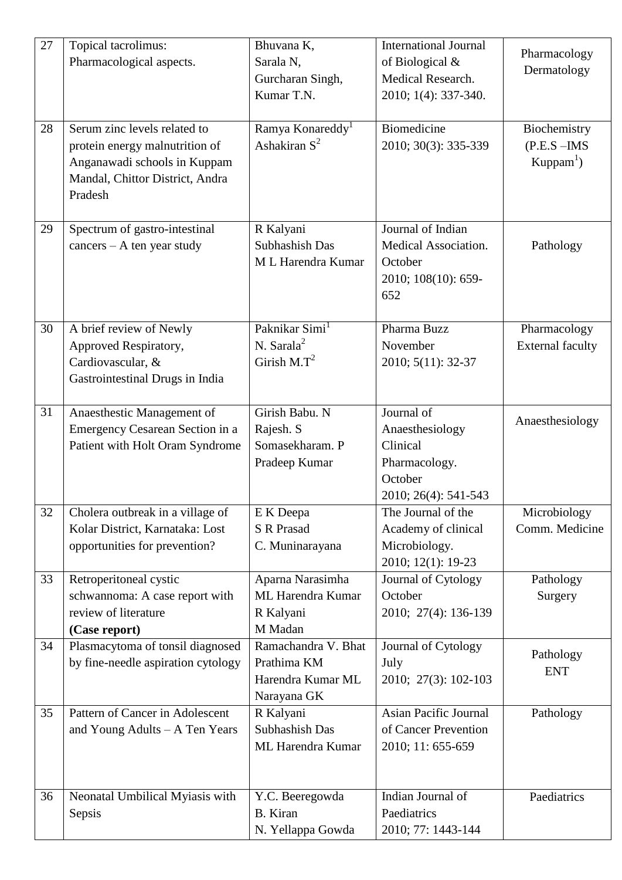| 27 | Topical tacrolimus:                                                    | Bhuvana K,                         | <b>International Journal</b> |                         |
|----|------------------------------------------------------------------------|------------------------------------|------------------------------|-------------------------|
|    | Pharmacological aspects.                                               | Sarala N,                          | of Biological &              | Pharmacology            |
|    |                                                                        | Gurcharan Singh,                   | Medical Research.            | Dermatology             |
|    |                                                                        | Kumar T.N.                         | 2010; 1(4): 337-340.         |                         |
|    |                                                                        |                                    |                              |                         |
| 28 | Serum zinc levels related to                                           | Ramya Konareddy <sup>1</sup>       | Biomedicine                  | Biochemistry            |
|    | protein energy malnutrition of                                         | Ashakiran $S^2$                    | 2010; 30(3): 335-339         | $(P.E.S - IMS)$         |
|    | Anganawadi schools in Kuppam                                           |                                    |                              | $Kuppam^1$              |
|    | Mandal, Chittor District, Andra                                        |                                    |                              |                         |
|    | Pradesh                                                                |                                    |                              |                         |
|    |                                                                        |                                    |                              |                         |
| 29 | Spectrum of gastro-intestinal                                          | R Kalyani                          | Journal of Indian            |                         |
|    | $cancers - A ten year study$                                           | Subhashish Das                     | Medical Association.         | Pathology               |
|    |                                                                        | M L Harendra Kumar                 | October                      |                         |
|    |                                                                        |                                    | 2010; 108(10): 659-          |                         |
|    |                                                                        |                                    | 652                          |                         |
|    |                                                                        |                                    |                              |                         |
| 30 | A brief review of Newly                                                | Paknikar Simi <sup>1</sup>         | Pharma Buzz                  | Pharmacology            |
|    | Approved Respiratory,                                                  | N. Sarala $2$                      | November                     | <b>External faculty</b> |
|    | Cardiovascular, &                                                      | Girish $M.T^2$                     | 2010; 5(11): 32-37           |                         |
|    | Gastrointestinal Drugs in India                                        |                                    |                              |                         |
|    |                                                                        |                                    |                              |                         |
| 31 | Anaesthestic Management of                                             | Girish Babu. N                     | Journal of                   | Anaesthesiology         |
|    | Emergency Cesarean Section in a                                        | Rajesh. S                          | Anaesthesiology              |                         |
|    | Patient with Holt Oram Syndrome                                        | Somasekharam. P                    | Clinical                     |                         |
|    |                                                                        | Pradeep Kumar                      | Pharmacology.                |                         |
|    |                                                                        |                                    | October                      |                         |
|    |                                                                        |                                    | 2010; 26(4): 541-543         |                         |
| 32 | Cholera outbreak in a village of                                       | E K Deepa                          | The Journal of the           | Microbiology            |
|    | Kolar District, Karnataka: Lost                                        | <b>S R Prasad</b>                  | Academy of clinical          | Comm. Medicine          |
|    | opportunities for prevention?                                          | C. Muninarayana                    | Microbiology.                |                         |
|    |                                                                        |                                    | 2010; 12(1): 19-23           |                         |
| 33 | Retroperitoneal cystic                                                 | Aparna Narasimha                   | Journal of Cytology          | Pathology               |
|    | schwannoma: A case report with                                         | ML Harendra Kumar                  | October                      | Surgery                 |
|    | review of literature                                                   | R Kalyani                          | 2010; 27(4): 136-139         |                         |
|    | (Case report)                                                          | M Madan                            |                              |                         |
| 34 | Plasmacytoma of tonsil diagnosed<br>by fine-needle aspiration cytology | Ramachandra V. Bhat<br>Prathima KM | Journal of Cytology<br>July  | Pathology               |
|    |                                                                        | Harendra Kumar ML                  | 2010; 27(3): 102-103         | <b>ENT</b>              |
|    |                                                                        | Narayana GK                        |                              |                         |
| 35 | Pattern of Cancer in Adolescent                                        | R Kalyani                          | <b>Asian Pacific Journal</b> | Pathology               |
|    | and Young Adults - A Ten Years                                         | Subhashish Das                     | of Cancer Prevention         |                         |
|    |                                                                        | <b>ML Harendra Kumar</b>           | 2010; 11: 655-659            |                         |
|    |                                                                        |                                    |                              |                         |
|    |                                                                        |                                    |                              |                         |
| 36 | Neonatal Umbilical Myiasis with                                        | Y.C. Beeregowda                    | Indian Journal of            | Paediatrics             |
|    | Sepsis                                                                 | <b>B.</b> Kiran                    | Paediatrics                  |                         |
|    |                                                                        | N. Yellappa Gowda                  | 2010; 77: 1443-144           |                         |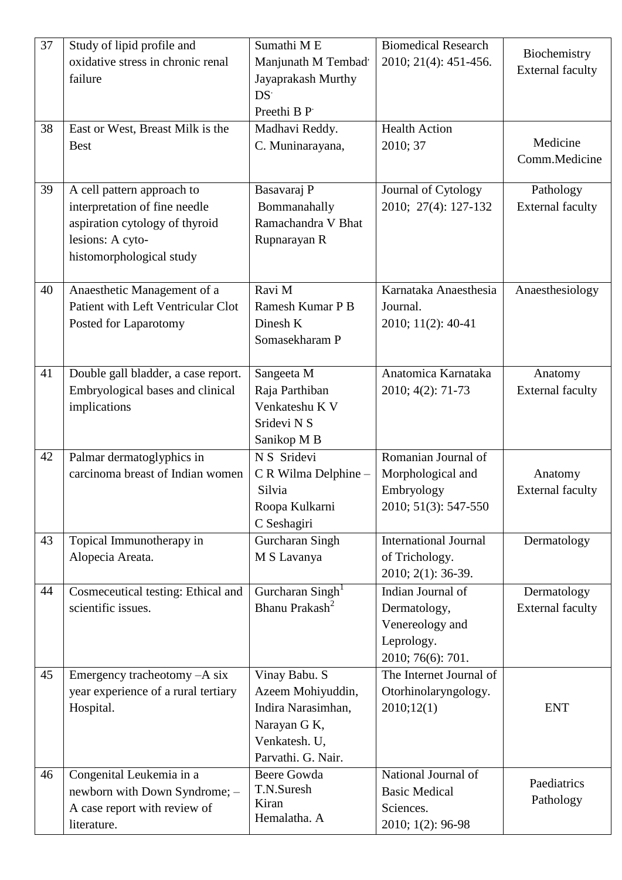| 37 | Study of lipid profile and          | Sumathi ME                   | <b>Biomedical Research</b>   |                         |
|----|-------------------------------------|------------------------------|------------------------------|-------------------------|
|    | oxidative stress in chronic renal   | Manjunath M Tembad'          | 2010; 21(4): 451-456.        | Biochemistry            |
|    | failure                             | Jayaprakash Murthy           |                              | <b>External faculty</b> |
|    |                                     | DS <sup>-</sup>              |                              |                         |
|    |                                     | Preethi B P                  |                              |                         |
| 38 | East or West, Breast Milk is the    | Madhavi Reddy.               | <b>Health Action</b>         |                         |
|    | <b>Best</b>                         | C. Muninarayana,             | 2010; 37                     | Medicine                |
|    |                                     |                              |                              | Comm.Medicine           |
|    |                                     |                              |                              |                         |
| 39 | A cell pattern approach to          | Basavaraj P                  | Journal of Cytology          | Pathology               |
|    | interpretation of fine needle       | Bommanahally                 | 2010; 27(4): 127-132         | <b>External faculty</b> |
|    | aspiration cytology of thyroid      | Ramachandra V Bhat           |                              |                         |
|    | lesions: A cyto-                    | Rupnarayan R                 |                              |                         |
|    | histomorphological study            |                              |                              |                         |
|    |                                     |                              |                              |                         |
| 40 | Anaesthetic Management of a         | Ravi M                       | Karnataka Anaesthesia        | Anaesthesiology         |
|    | Patient with Left Ventricular Clot  | Ramesh Kumar P B             | Journal.                     |                         |
|    | Posted for Laparotomy               | Dinesh K                     | 2010; 11(2): 40-41           |                         |
|    |                                     | Somasekharam P               |                              |                         |
|    |                                     |                              |                              |                         |
| 41 | Double gall bladder, a case report. | Sangeeta M                   | Anatomica Karnataka          | Anatomy                 |
|    | Embryological bases and clinical    | Raja Parthiban               | 2010; 4(2): 71-73            | <b>External faculty</b> |
|    | implications                        | Venkateshu K V               |                              |                         |
|    |                                     | Sridevi N S                  |                              |                         |
|    |                                     | Sanikop M B                  |                              |                         |
| 42 | Palmar dermatoglyphics in           | N S Sridevi                  | Romanian Journal of          |                         |
|    | carcinoma breast of Indian women    | C R Wilma Delphine -         | Morphological and            | Anatomy                 |
|    |                                     | Silvia                       | Embryology                   | <b>External faculty</b> |
|    |                                     | Roopa Kulkarni               | 2010; 51(3): 547-550         |                         |
|    |                                     | C Seshagiri                  |                              |                         |
| 43 | Topical Immunotherapy in            | Gurcharan Singh              | <b>International Journal</b> | Dermatology             |
|    | Alopecia Areata.                    | M S Lavanya                  | of Trichology.               |                         |
|    |                                     |                              | 2010; 2(1): 36-39.           |                         |
| 44 | Cosmeceutical testing: Ethical and  | Gurcharan Singh <sup>1</sup> | Indian Journal of            | Dermatology             |
|    | scientific issues.                  | Bhanu Prakash <sup>2</sup>   | Dermatology,                 | <b>External faculty</b> |
|    |                                     |                              | Venereology and              |                         |
|    |                                     |                              | Leprology.                   |                         |
|    |                                     |                              | 2010; 76(6): 701.            |                         |
| 45 | Emergency tracheotomy -A six        | Vinay Babu. S                | The Internet Journal of      |                         |
|    | year experience of a rural tertiary | Azeem Mohiyuddin,            | Otorhinolaryngology.         |                         |
|    | Hospital.                           | Indira Narasimhan,           | 2010;12(1)                   | <b>ENT</b>              |
|    |                                     | Narayan G K,                 |                              |                         |
|    |                                     | Venkatesh. U,                |                              |                         |
|    |                                     | Parvathi. G. Nair.           |                              |                         |
| 46 | Congenital Leukemia in a            | <b>Beere Gowda</b>           | National Journal of          |                         |
|    |                                     | T.N.Suresh                   | <b>Basic Medical</b>         | Paediatrics             |
|    | newborn with Down Syndrome; -       | Kiran                        |                              | Pathology               |
|    | A case report with review of        | Hemalatha. A                 | Sciences.                    |                         |
|    | literature.                         |                              | 2010; 1(2): 96-98            |                         |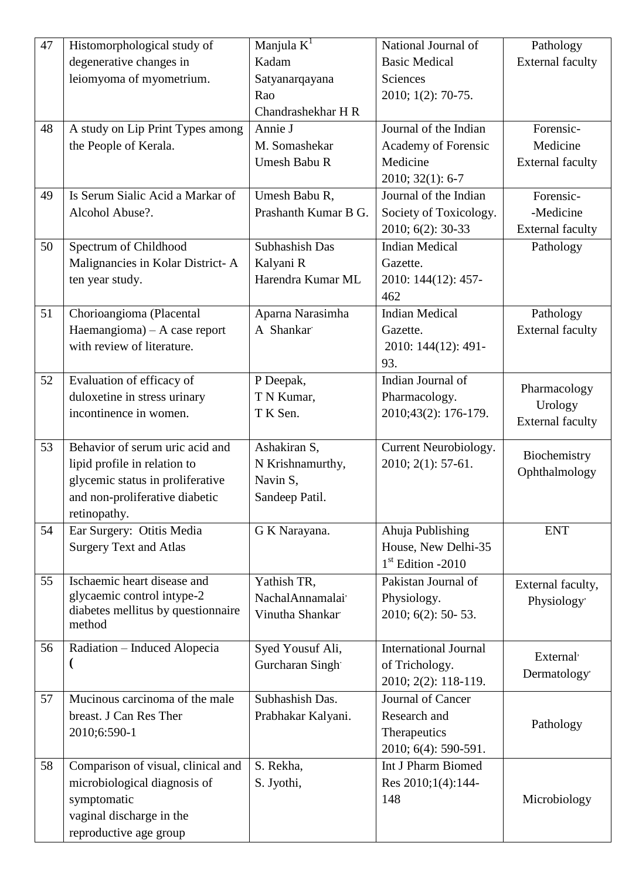| 47 | Histomorphological study of        | Manjula $K^1$        | National Journal of          | Pathology               |
|----|------------------------------------|----------------------|------------------------------|-------------------------|
|    | degenerative changes in            | Kadam                | <b>Basic Medical</b>         | <b>External faculty</b> |
|    | leiomyoma of myometrium.           | Satyanarqayana       | Sciences                     |                         |
|    |                                    | Rao                  | 2010; 1(2): 70-75.           |                         |
|    |                                    | Chandrashekhar H R   |                              |                         |
| 48 | A study on Lip Print Types among   | Annie J              | Journal of the Indian        | Forensic-               |
|    | the People of Kerala.              | M. Somashekar        | Academy of Forensic          | Medicine                |
|    |                                    | Umesh Babu R         | Medicine                     | <b>External faculty</b> |
|    |                                    |                      | $2010; 32(1): 6-7$           |                         |
| 49 | Is Serum Sialic Acid a Markar of   | Umesh Babu R,        | Journal of the Indian        | Forensic-               |
|    | Alcohol Abuse?.                    | Prashanth Kumar B G. | Society of Toxicology.       | -Medicine               |
|    |                                    |                      | 2010; 6(2): 30-33            | <b>External faculty</b> |
| 50 | Spectrum of Childhood              | Subhashish Das       | <b>Indian Medical</b>        | Pathology               |
|    | Malignancies in Kolar District-A   | Kalyani R            | Gazette.                     |                         |
|    | ten year study.                    | Harendra Kumar ML    | 2010: 144(12): 457-          |                         |
|    |                                    |                      | 462                          |                         |
| 51 | Chorioangioma (Placental           | Aparna Narasimha     | <b>Indian Medical</b>        | Pathology               |
|    | Haemangioma) - A case report       | A Shankar            | Gazette.                     | <b>External faculty</b> |
|    | with review of literature.         |                      | 2010: 144(12): 491-          |                         |
|    |                                    |                      | 93.                          |                         |
| 52 | Evaluation of efficacy of          | P Deepak,            | Indian Journal of            |                         |
|    | duloxetine in stress urinary       | T N Kumar,           | Pharmacology.                | Pharmacology            |
|    | incontinence in women.             | T K Sen.             | 2010;43(2): 176-179.         | Urology                 |
|    |                                    |                      |                              | <b>External faculty</b> |
| 53 | Behavior of serum uric acid and    | Ashakiran S,         | Current Neurobiology.        |                         |
|    | lipid profile in relation to       | N Krishnamurthy,     | 2010; 2(1): 57-61.           | Biochemistry            |
|    | glycemic status in proliferative   | Navin S,             |                              | Ophthalmology           |
|    | and non-proliferative diabetic     | Sandeep Patil.       |                              |                         |
|    | retinopathy.                       |                      |                              |                         |
| 54 | Ear Surgery: Otitis Media          | G K Narayana.        | Ahuja Publishing             | <b>ENT</b>              |
|    | <b>Surgery Text and Atlas</b>      |                      | House, New Delhi-35          |                         |
|    |                                    |                      | $1st$ Edition -2010          |                         |
| 55 | Ischaemic heart disease and        | Yathish TR,          | Pakistan Journal of          | External faculty,       |
|    | glycaemic control intype-2         | Nachal Annamalai'    | Physiology.                  | Physiology'             |
|    | diabetes mellitus by questionnaire | Vinutha Shankar      | 2010; 6(2): 50-53.           |                         |
|    | method                             |                      |                              |                         |
| 56 |                                    |                      |                              |                         |
|    | Radiation – Induced Alopecia       | Syed Yousuf Ali,     | <b>International Journal</b> |                         |
|    | $\mathbf{I}$                       | Gurcharan Singh      | of Trichology.               | External'               |
|    |                                    |                      | 2010; 2(2): 118-119.         | Dermatology'            |
| 57 | Mucinous carcinoma of the male     | Subhashish Das.      | Journal of Cancer            |                         |
|    | breast. J Can Res Ther             | Prabhakar Kalyani.   | Research and                 |                         |
|    | 2010;6:590-1                       |                      | Therapeutics                 | Pathology               |
|    |                                    |                      | 2010; 6(4): 590-591.         |                         |
| 58 | Comparison of visual, clinical and | S. Rekha,            | Int J Pharm Biomed           |                         |
|    | microbiological diagnosis of       | S. Jyothi,           | Res 2010;1(4):144-           |                         |
|    | symptomatic                        |                      | 148                          | Microbiology            |
|    | vaginal discharge in the           |                      |                              |                         |